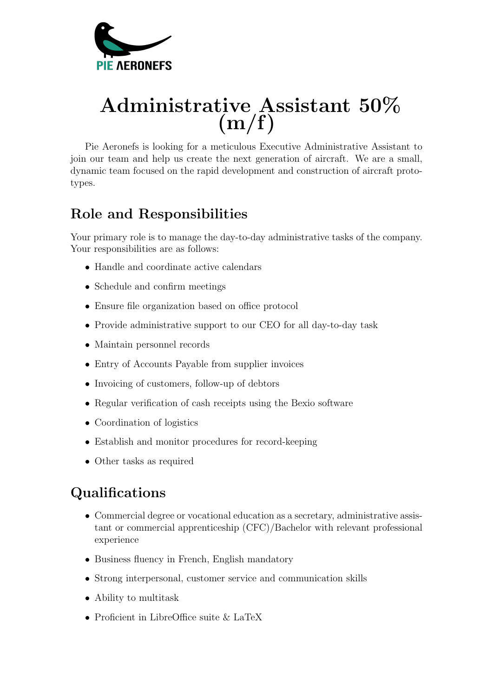

## Administrative Assistant 50%  $(m/f)$

Pie Aeronefs is looking for a meticulous Executive Administrative Assistant to join our team and help us create the next generation of aircraft. We are a small, dynamic team focused on the rapid development and construction of aircraft prototypes.

## Role and Responsibilities

Your primary role is to manage the day-to-day administrative tasks of the company. Your responsibilities are as follows:

- Handle and coordinate active calendars
- Schedule and confirm meetings
- Ensure file organization based on office protocol
- Provide administrative support to our CEO for all day-to-day task
- Maintain personnel records
- Entry of Accounts Payable from supplier invoices
- Invoicing of customers, follow-up of debtors
- Regular verification of cash receipts using the Bexio software
- Coordination of logistics
- Establish and monitor procedures for record-keeping
- Other tasks as required

## Qualifications

- Commercial degree or vocational education as a secretary, administrative assistant or commercial apprenticeship (CFC)/Bachelor with relevant professional experience
- Business fluency in French, English mandatory
- Strong interpersonal, customer service and communication skills
- Ability to multitask
- Proficient in LibreOffice suite & LaTeX